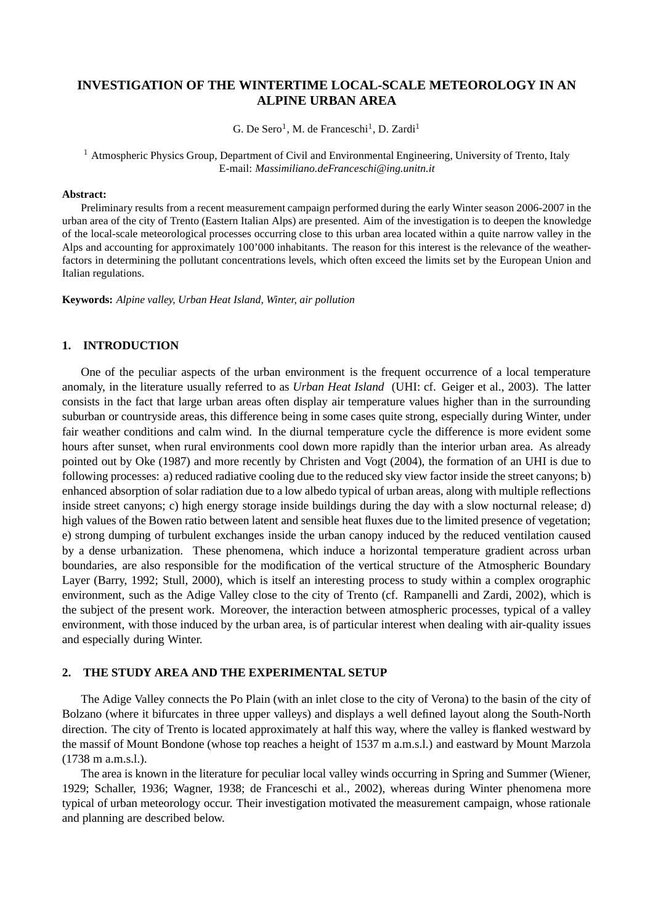# **INVESTIGATION OF THE WINTERTIME LOCAL-SCALE METEOROLOGY IN AN ALPINE URBAN AREA**

G. De Sero<sup>1</sup>, M. de Franceschi<sup>1</sup>, D. Zardi<sup>1</sup>

<sup>1</sup> Atmospheric Physics Group, Department of Civil and Environmental Engineering, University of Trento, Italy E-mail: *Massimiliano.deFranceschi@ing.unitn.it*

#### **Abstract:**

Preliminary results from a recent measurement campaign performed during the early Winter season 2006-2007 in the urban area of the city of Trento (Eastern Italian Alps) are presented. Aim of the investigation is to deepen the knowledge of the local-scale meteorological processes occurring close to this urban area located within a quite narrow valley in the Alps and accounting for approximately 100'000 inhabitants. The reason for this interest is the relevance of the weatherfactors in determining the pollutant concentrations levels, which often exceed the limits set by the European Union and Italian regulations.

**Keywords:** *Alpine valley, Urban Heat Island, Winter, air pollution*

## **1. INTRODUCTION**

One of the peculiar aspects of the urban environment is the frequent occurrence of a local temperature anomaly, in the literature usually referred to as *Urban Heat Island* (UHI: cf. Geiger et al., 2003). The latter consists in the fact that large urban areas often display air temperature values higher than in the surrounding suburban or countryside areas, this difference being in some cases quite strong, especially during Winter, under fair weather conditions and calm wind. In the diurnal temperature cycle the difference is more evident some hours after sunset, when rural environments cool down more rapidly than the interior urban area. As already pointed out by Oke (1987) and more recently by Christen and Vogt (2004), the formation of an UHI is due to following processes: a) reduced radiative cooling due to the reduced sky view factor inside the street canyons; b) enhanced absorption of solar radiation due to a low albedo typical of urban areas, along with multiple reflections inside street canyons; c) high energy storage inside buildings during the day with a slow nocturnal release; d) high values of the Bowen ratio between latent and sensible heat fluxes due to the limited presence of vegetation; e) strong dumping of turbulent exchanges inside the urban canopy induced by the reduced ventilation caused by a dense urbanization. These phenomena, which induce a horizontal temperature gradient across urban boundaries, are also responsible for the modification of the vertical structure of the Atmospheric Boundary Layer (Barry, 1992; Stull, 2000), which is itself an interesting process to study within a complex orographic environment, such as the Adige Valley close to the city of Trento (cf. Rampanelli and Zardi, 2002), which is the subject of the present work. Moreover, the interaction between atmospheric processes, typical of a valley environment, with those induced by the urban area, is of particular interest when dealing with air-quality issues and especially during Winter.

### **2. THE STUDY AREA AND THE EXPERIMENTAL SETUP**

The Adige Valley connects the Po Plain (with an inlet close to the city of Verona) to the basin of the city of Bolzano (where it bifurcates in three upper valleys) and displays a well defined layout along the South-North direction. The city of Trento is located approximately at half this way, where the valley is flanked westward by the massif of Mount Bondone (whose top reaches a height of 1537 m a.m.s.l.) and eastward by Mount Marzola (1738 m a.m.s.l.).

The area is known in the literature for peculiar local valley winds occurring in Spring and Summer (Wiener, 1929; Schaller, 1936; Wagner, 1938; de Franceschi et al., 2002), whereas during Winter phenomena more typical of urban meteorology occur. Their investigation motivated the measurement campaign, whose rationale and planning are described below.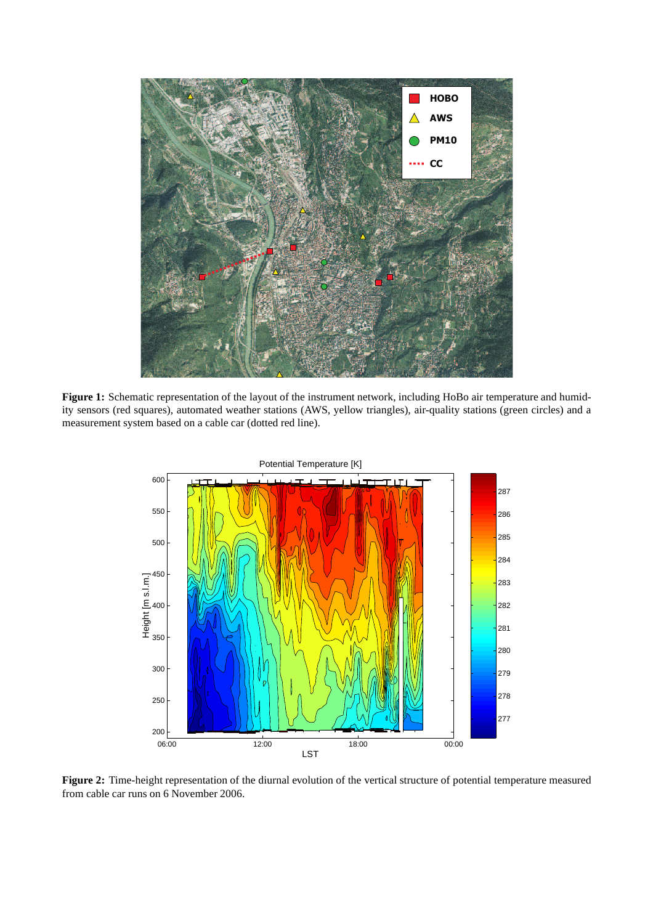

**Figure 1:** Schematic representation of the layout of the instrument network, including HoBo air temperature and humidity sensors (red squares), automated weather stations (AWS, yellow triangles), air-quality stations (green circles) and a measurement system based on a cable car (dotted red line).



**Figure 2:** Time-height representation of the diurnal evolution of the vertical structure of potential temperature measured from cable car runs on 6 November 2006.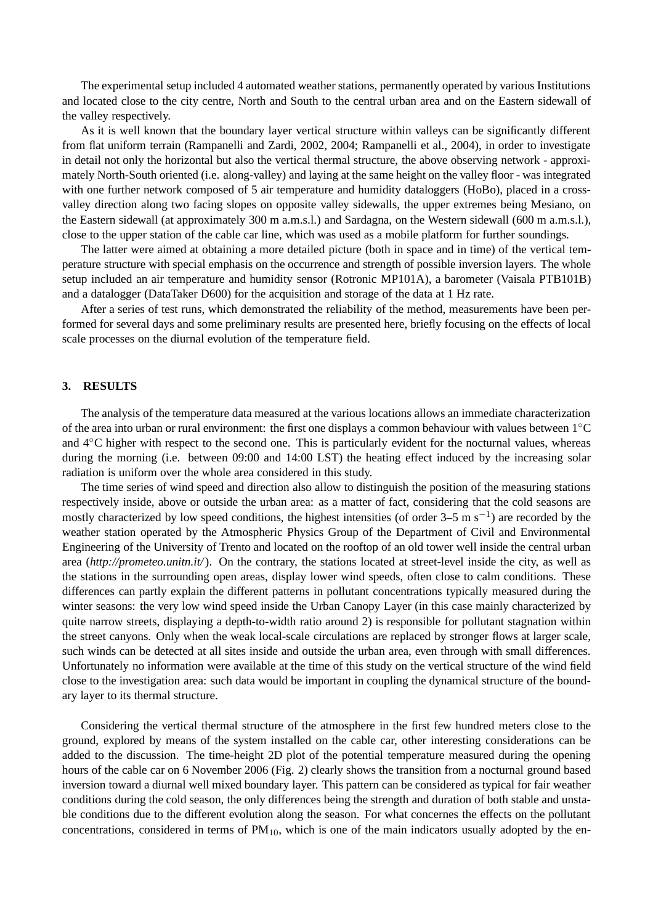The experimental setup included 4 automated weather stations, permanently operated by various Institutions and located close to the city centre, North and South to the central urban area and on the Eastern sidewall of the valley respectively.

As it is well known that the boundary layer vertical structure within valleys can be significantly different from flat uniform terrain (Rampanelli and Zardi, 2002, 2004; Rampanelli et al., 2004), in order to investigate in detail not only the horizontal but also the vertical thermal structure, the above observing network - approximately North-South oriented (i.e. along-valley) and laying at the same height on the valley floor - was integrated with one further network composed of 5 air temperature and humidity dataloggers (HoBo), placed in a crossvalley direction along two facing slopes on opposite valley sidewalls, the upper extremes being Mesiano, on the Eastern sidewall (at approximately 300 m a.m.s.l.) and Sardagna, on the Western sidewall (600 m a.m.s.l.), close to the upper station of the cable car line, which was used as a mobile platform for further soundings.

The latter were aimed at obtaining a more detailed picture (both in space and in time) of the vertical temperature structure with special emphasis on the occurrence and strength of possible inversion layers. The whole setup included an air temperature and humidity sensor (Rotronic MP101A), a barometer (Vaisala PTB101B) and a datalogger (DataTaker D600) for the acquisition and storage of the data at 1 Hz rate.

After a series of test runs, which demonstrated the reliability of the method, measurements have been performed for several days and some preliminary results are presented here, briefly focusing on the effects of local scale processes on the diurnal evolution of the temperature field.

#### **3. RESULTS**

The analysis of the temperature data measured at the various locations allows an immediate characterization of the area into urban or rural environment: the first one displays a common behaviour with values between 1◦C and 4◦C higher with respect to the second one. This is particularly evident for the nocturnal values, whereas during the morning (i.e. between 09:00 and 14:00 LST) the heating effect induced by the increasing solar radiation is uniform over the whole area considered in this study.

The time series of wind speed and direction also allow to distinguish the position of the measuring stations respectively inside, above or outside the urban area: as a matter of fact, considering that the cold seasons are mostly characterized by low speed conditions, the highest intensities (of order 3–5 m s−<sup>1</sup> ) are recorded by the weather station operated by the Atmospheric Physics Group of the Department of Civil and Environmental Engineering of the University of Trento and located on the rooftop of an old tower well inside the central urban area (*http://prometeo.unitn.it/*). On the contrary, the stations located at street-level inside the city, as well as the stations in the surrounding open areas, display lower wind speeds, often close to calm conditions. These differences can partly explain the different patterns in pollutant concentrations typically measured during the winter seasons: the very low wind speed inside the Urban Canopy Layer (in this case mainly characterized by quite narrow streets, displaying a depth-to-width ratio around 2) is responsible for pollutant stagnation within the street canyons. Only when the weak local-scale circulations are replaced by stronger flows at larger scale, such winds can be detected at all sites inside and outside the urban area, even through with small differences. Unfortunately no information were available at the time of this study on the vertical structure of the wind field close to the investigation area: such data would be important in coupling the dynamical structure of the boundary layer to its thermal structure.

Considering the vertical thermal structure of the atmosphere in the first few hundred meters close to the ground, explored by means of the system installed on the cable car, other interesting considerations can be added to the discussion. The time-height 2D plot of the potential temperature measured during the opening hours of the cable car on 6 November 2006 (Fig. 2) clearly shows the transition from a nocturnal ground based inversion toward a diurnal well mixed boundary layer. This pattern can be considered as typical for fair weather conditions during the cold season, the only differences being the strength and duration of both stable and unstable conditions due to the different evolution along the season. For what concernes the effects on the pollutant concentrations, considered in terms of  $PM_{10}$ , which is one of the main indicators usually adopted by the en-